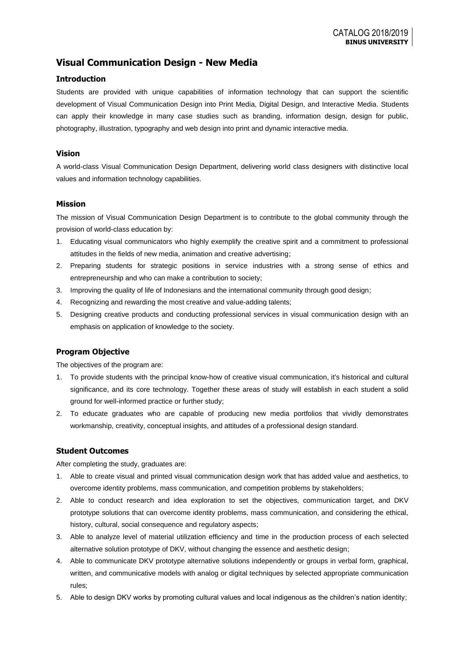# **Visual Communication Design - New Media**

### **Introduction**

Students are provided with unique capabilities of information technology that can support the scientific development of Visual Communication Design into Print Media, Digital Design, and Interactive Media. Students can apply their knowledge in many case studies such as branding, information design, design for public, photography, illustration, typography and web design into print and dynamic interactive media.

### **Vision**

A world-class Visual Communication Design Department, delivering world class designers with distinctive local values and information technology capabilities.

#### **Mission**

The mission of Visual Communication Design Department is to contribute to the global community through the provision of world-class education by:

- 1. Educating visual communicators who highly exemplify the creative spirit and a commitment to professional attitudes in the fields of new media, animation and creative advertising;
- 2. Preparing students for strategic positions in service industries with a strong sense of ethics and entrepreneurship and who can make a contribution to society;
- 3. Improving the quality of life of Indonesians and the international community through good design;
- 4. Recognizing and rewarding the most creative and value-adding talents;
- 5. Designing creative products and conducting professional services in visual communication design with an emphasis on application of knowledge to the society.

## **Program Objective**

The objectives of the program are:

- 1. To provide students with the principal know-how of creative visual communication, it's historical and cultural significance, and its core technology. Together these areas of study will establish in each student a solid ground for well-informed practice or further study;
- 2. To educate graduates who are capable of producing new media portfolios that vividly demonstrates workmanship, creativity, conceptual insights, and attitudes of a professional design standard.

## **Student Outcomes**

After completing the study, graduates are:

- 1. Able to create visual and printed visual communication design work that has added value and aesthetics, to overcome identity problems, mass communication, and competition problems by stakeholders;
- 2. Able to conduct research and idea exploration to set the objectives, communication target, and DKV prototype solutions that can overcome identity problems, mass communication, and considering the ethical, history, cultural, social consequence and regulatory aspects;
- 3. Able to analyze level of material utilization efficiency and time in the production process of each selected alternative solution prototype of DKV, without changing the essence and aesthetic design;
- 4. Able to communicate DKV prototype alternative solutions independently or groups in verbal form, graphical, written, and communicative models with analog or digital techniques by selected appropriate communication rules;
- 5. Able to design DKV works by promoting cultural values and local indigenous as the children's nation identity;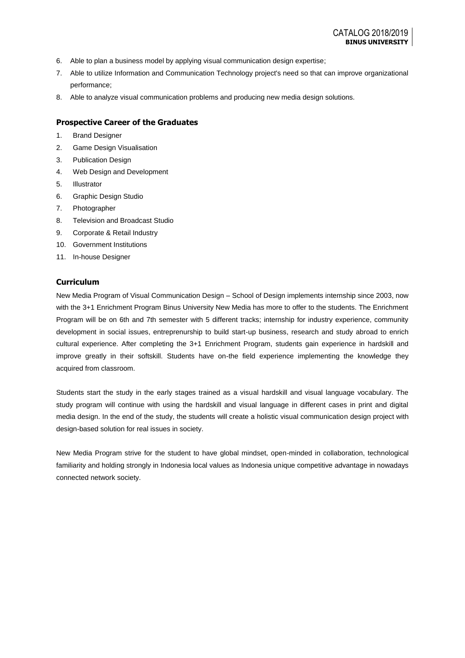- 6. Able to plan a business model by applying visual communication design expertise;
- 7. Able to utilize Information and Communication Technology project's need so that can improve organizational performance;
- 8. Able to analyze visual communication problems and producing new media design solutions.

#### **Prospective Career of the Graduates**

- 1. Brand Designer
- 2. Game Design Visualisation
- 3. Publication Design
- 4. Web Design and Development
- 5. Illustrator
- 6. Graphic Design Studio
- 7. Photographer
- 8. Television and Broadcast Studio
- 9. Corporate & Retail Industry
- 10. Government Institutions
- 11. In-house Designer

#### **Curriculum**

New Media Program of Visual Communication Design – School of Design implements internship since 2003, now with the 3+1 Enrichment Program Binus University New Media has more to offer to the students. The Enrichment Program will be on 6th and 7th semester with 5 different tracks; internship for industry experience, community development in social issues, entreprenurship to build start-up business, research and study abroad to enrich cultural experience. After completing the 3+1 Enrichment Program, students gain experience in hardskill and improve greatly in their softskill. Students have on-the field experience implementing the knowledge they acquired from classroom.

Students start the study in the early stages trained as a visual hardskill and visual language vocabulary. The study program will continue with using the hardskill and visual language in different cases in print and digital media design. In the end of the study, the students will create a holistic visual communication design project with design-based solution for real issues in society.

New Media Program strive for the student to have global mindset, open-minded in collaboration, technological familiarity and holding strongly in Indonesia local values as Indonesia unique competitive advantage in nowadays connected network society.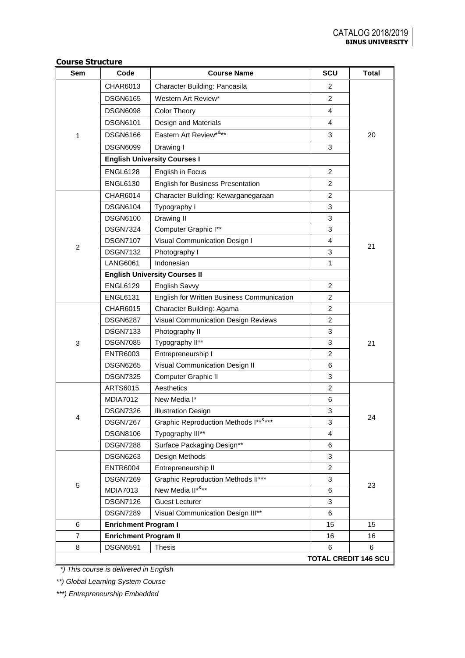| Sem            | Code                         | <b>Course Name</b>                         | SCU                         | <b>Total</b> |  |  |  |
|----------------|------------------------------|--------------------------------------------|-----------------------------|--------------|--|--|--|
|                | CHAR6013                     | Character Building: Pancasila              | 2                           |              |  |  |  |
|                | <b>DSGN6165</b>              | Western Art Review*                        | $\overline{c}$              |              |  |  |  |
|                | <b>DSGN6098</b>              | <b>Color Theory</b>                        | $\overline{4}$              |              |  |  |  |
|                | <b>DSGN6101</b>              | Design and Materials                       | $\overline{4}$              |              |  |  |  |
| 1              | <b>DSGN6166</b>              | Eastern Art Review*&**                     | 3                           | 20           |  |  |  |
|                | <b>DSGN6099</b>              | Drawing I                                  | 3                           |              |  |  |  |
|                |                              | <b>English University Courses I</b>        |                             |              |  |  |  |
|                | <b>ENGL6128</b>              | English in Focus                           | 2                           |              |  |  |  |
|                | <b>ENGL6130</b>              | <b>English for Business Presentation</b>   | $\overline{2}$              |              |  |  |  |
|                | <b>CHAR6014</b>              | Character Building: Kewarganegaraan        | $\overline{2}$              |              |  |  |  |
|                | <b>DSGN6104</b>              | Typography I                               | 3                           |              |  |  |  |
|                | <b>DSGN6100</b>              | Drawing II                                 | 3                           |              |  |  |  |
|                | <b>DSGN7324</b>              | Computer Graphic I**                       | 3                           |              |  |  |  |
|                | <b>DSGN7107</b>              | Visual Communication Design I              | 4                           |              |  |  |  |
| $\overline{2}$ | <b>DSGN7132</b>              | Photography I                              | 3                           | 21           |  |  |  |
|                | <b>LANG6061</b>              | Indonesian                                 | $\mathbf{1}$                |              |  |  |  |
|                |                              | <b>English University Courses II</b>       |                             |              |  |  |  |
|                | <b>ENGL6129</b>              | English Savvy                              | 2                           |              |  |  |  |
|                | <b>ENGL6131</b>              | English for Written Business Communication | 2                           |              |  |  |  |
|                | CHAR6015                     | Character Building: Agama                  | $\overline{c}$              |              |  |  |  |
|                | <b>DSGN6287</b>              | Visual Communication Design Reviews        | 2                           |              |  |  |  |
|                | <b>DSGN7133</b>              | Photography II                             | 3                           |              |  |  |  |
| 3              | <b>DSGN7085</b>              | Typography II**                            | 3                           | 21           |  |  |  |
|                | <b>ENTR6003</b>              | Entrepreneurship I                         | $\overline{c}$              |              |  |  |  |
|                | <b>DSGN6265</b>              | Visual Communication Design II             | 6                           |              |  |  |  |
|                | <b>DSGN7325</b>              | Computer Graphic II                        | 3                           |              |  |  |  |
|                | ARTS6015                     | Aesthetics                                 | $\overline{c}$              |              |  |  |  |
|                | <b>MDIA7012</b>              | New Media I*                               | 6                           |              |  |  |  |
| 4              | DSGN7326                     | <b>Illustration Design</b>                 | 3                           | 24           |  |  |  |
|                | <b>DSGN7267</b>              | Graphic Reproduction Methods I******       | 3                           |              |  |  |  |
|                | <b>DSGN8106</b>              | Typography III**                           | 4                           |              |  |  |  |
|                | <b>DSGN7288</b>              | Surface Packaging Design**                 | 6                           |              |  |  |  |
|                | <b>DSGN6263</b>              | Design Methods                             | 3                           |              |  |  |  |
|                | <b>ENTR6004</b>              | Entrepreneurship II                        | $\overline{2}$              |              |  |  |  |
| 5              | <b>DSGN7269</b>              | <b>Graphic Reproduction Methods II***</b>  | 3                           | 23           |  |  |  |
|                | <b>MDIA7013</b>              | New Media II****                           | 6                           |              |  |  |  |
|                | <b>DSGN7126</b>              | <b>Guest Lecturer</b>                      | 3                           |              |  |  |  |
|                | <b>DSGN7289</b>              | Visual Communication Design III**          |                             |              |  |  |  |
| 6              | <b>Enrichment Program I</b>  |                                            | 15                          |              |  |  |  |
| $\overline{7}$ | <b>Enrichment Program II</b> |                                            | 16                          | 16           |  |  |  |
| 8              | <b>DSGN6591</b>              | <b>Thesis</b>                              | 6                           | 6            |  |  |  |
|                |                              |                                            | <b>TOTAL CREDIT 146 SCU</b> |              |  |  |  |

# **Course Structure**

 *\*) This course is delivered in English*

*\*\*) Global Learning System Course*

*\*\*\*) Entrepreneurship Embedded*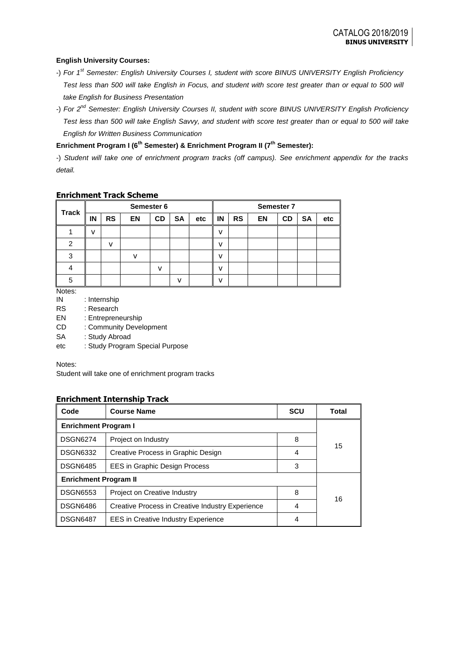### **English University Courses:**

- -) *For 1st Semester: English University Courses I, student with score BINUS UNIVERSITY English Proficiency Test less than 500 will take English in Focus, and student with score test greater than or equal to 500 will take English for Business Presentation*
- -) *For 2nd Semester: English University Courses II, student with score BINUS UNIVERSITY English Proficiency Test less than 500 will take English Savvy, and student with score test greater than or equal to 500 will take English for Written Business Communication*

# **Enrichment Program I (6th Semester) & Enrichment Program II (7th Semester):**

-) *Student will take one of enrichment program tracks (off campus). See enrichment appendix for the tracks detail.*

### **Enrichment Track Scheme**

|               | Semester 6 |           |           |           |           | Semester 7 |              |           |           |           |           |     |
|---------------|------------|-----------|-----------|-----------|-----------|------------|--------------|-----------|-----------|-----------|-----------|-----|
| <b>Track</b>  | ΙN         | <b>RS</b> | <b>EN</b> | <b>CD</b> | <b>SA</b> | etc        | IN           | <b>RS</b> | <b>EN</b> | <b>CD</b> | <b>SA</b> | etc |
|               | v          |           |           |           |           |            | v            |           |           |           |           |     |
| $\mathcal{P}$ |            | v         |           |           |           |            | v            |           |           |           |           |     |
| 3             |            |           | v         |           |           |            | v            |           |           |           |           |     |
|               |            |           |           | v         |           |            | v            |           |           |           |           |     |
| 5             |            |           |           |           | v         |            | $\mathsf{V}$ |           |           |           |           |     |

Notes:

- IN : Internship
- RS : Research
- EN : Entrepreneurship
- CD : Community Development
- SA : Study Abroad
- etc : Study Program Special Purpose

Notes:

Student will take one of enrichment program tracks

## **Enrichment Internship Track**

| Code                         | <b>Course Name</b>                               | <b>SCU</b> | Total |  |  |  |
|------------------------------|--------------------------------------------------|------------|-------|--|--|--|
| <b>Enrichment Program I</b>  |                                                  |            |       |  |  |  |
| <b>DSGN6274</b>              | Project on Industry                              | 8          |       |  |  |  |
| <b>DSGN6332</b>              | Creative Process in Graphic Design               | 4          | 15    |  |  |  |
| <b>DSGN6485</b>              | <b>EES in Graphic Design Process</b><br>3        |            |       |  |  |  |
| <b>Enrichment Program II</b> |                                                  |            |       |  |  |  |
| <b>DSGN6553</b>              | Project on Creative Industry                     | 8          |       |  |  |  |
| <b>DSGN6486</b>              | Creative Process in Creative Industry Experience | 4          | 16    |  |  |  |
| <b>DSGN6487</b>              | <b>EES</b> in Creative Industry Experience       | 4          |       |  |  |  |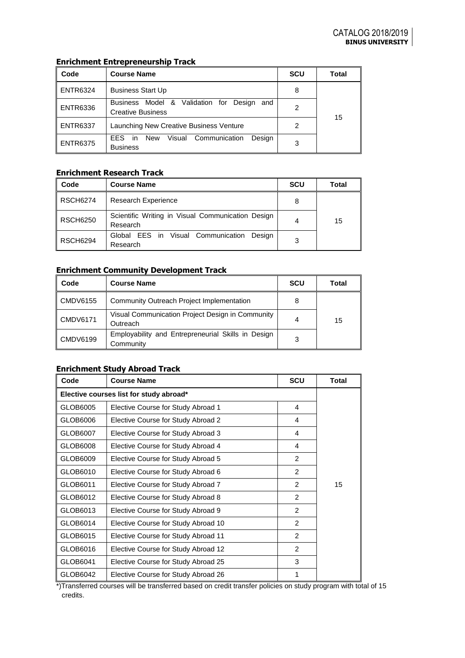# **Enrichment Entrepreneurship Track**

| Code            | <b>Course Name</b>                                                                        | <b>SCU</b> | Total |
|-----------------|-------------------------------------------------------------------------------------------|------------|-------|
| <b>ENTR6324</b> | <b>Business Start Up</b>                                                                  | 8          |       |
| <b>ENTR6336</b> | Business Model & Validation for<br>Desian<br>and<br><b>Creative Business</b>              | 2          | 15    |
| <b>ENTR6337</b> | Launching New Creative Business Venture                                                   | 2          |       |
| <b>ENTR6375</b> | Communication<br><b>EES</b><br>Desian<br>New<br>Visual<br>$\mathsf{I}$<br><b>Business</b> | 3          |       |

# **Enrichment Research Track**

| Code            | <b>Course Name</b>                                            | <b>SCU</b> | <b>Total</b> |  |
|-----------------|---------------------------------------------------------------|------------|--------------|--|
| <b>RSCH6274</b> | <b>Research Experience</b>                                    |            |              |  |
| <b>RSCH6250</b> | Scientific Writing in Visual Communication Design<br>Research |            | 15           |  |
| <b>RSCH6294</b> | Global EES in Visual Communication<br>Desian<br>Research      | 3          |              |  |

# **Enrichment Community Development Track**

| Code            | <b>Course Name</b>                                              | <b>SCU</b> | Total |
|-----------------|-----------------------------------------------------------------|------------|-------|
| <b>CMDV6155</b> | Community Outreach Project Implementation                       | 8          |       |
| <b>CMDV6171</b> | Visual Communication Project Design in Community<br>Outreach    | 4          | 15    |
| <b>CMDV6199</b> | Employability and Entrepreneurial Skills in Design<br>Community | 3          |       |

## **Enrichment Study Abroad Track**

| Code                                    | <b>Course Name</b>                  | <b>Total</b>   |    |  |  |
|-----------------------------------------|-------------------------------------|----------------|----|--|--|
| Elective courses list for study abroad* |                                     |                |    |  |  |
| GLOB6005                                | Elective Course for Study Abroad 1  | 4              |    |  |  |
| GLOB6006                                | Elective Course for Study Abroad 2  | 4              |    |  |  |
| GLOB6007                                | Elective Course for Study Abroad 3  | 4              |    |  |  |
| GLOB6008                                | Elective Course for Study Abroad 4  | 4              |    |  |  |
| GLOB6009                                | Elective Course for Study Abroad 5  | $\mathcal{P}$  |    |  |  |
| GLOB6010                                | Elective Course for Study Abroad 6  | $\overline{2}$ |    |  |  |
| GLOB6011                                | Elective Course for Study Abroad 7  | $\overline{2}$ | 15 |  |  |
| GLOB6012                                | Elective Course for Study Abroad 8  | $\mathfrak{p}$ |    |  |  |
| GLOB6013                                | Elective Course for Study Abroad 9  | $\overline{2}$ |    |  |  |
| GLOB6014                                | Elective Course for Study Abroad 10 | $\overline{2}$ |    |  |  |
| GLOB6015                                | Elective Course for Study Abroad 11 | $\overline{2}$ |    |  |  |
| GLOB6016                                | Elective Course for Study Abroad 12 | $\overline{2}$ |    |  |  |
| GLOB6041                                | Elective Course for Study Abroad 25 | 3              |    |  |  |
| GLOB6042                                | Elective Course for Study Abroad 26 | 1              |    |  |  |

\*)Transferred courses will be transferred based on credit transfer policies on study program with total of 15 credits.